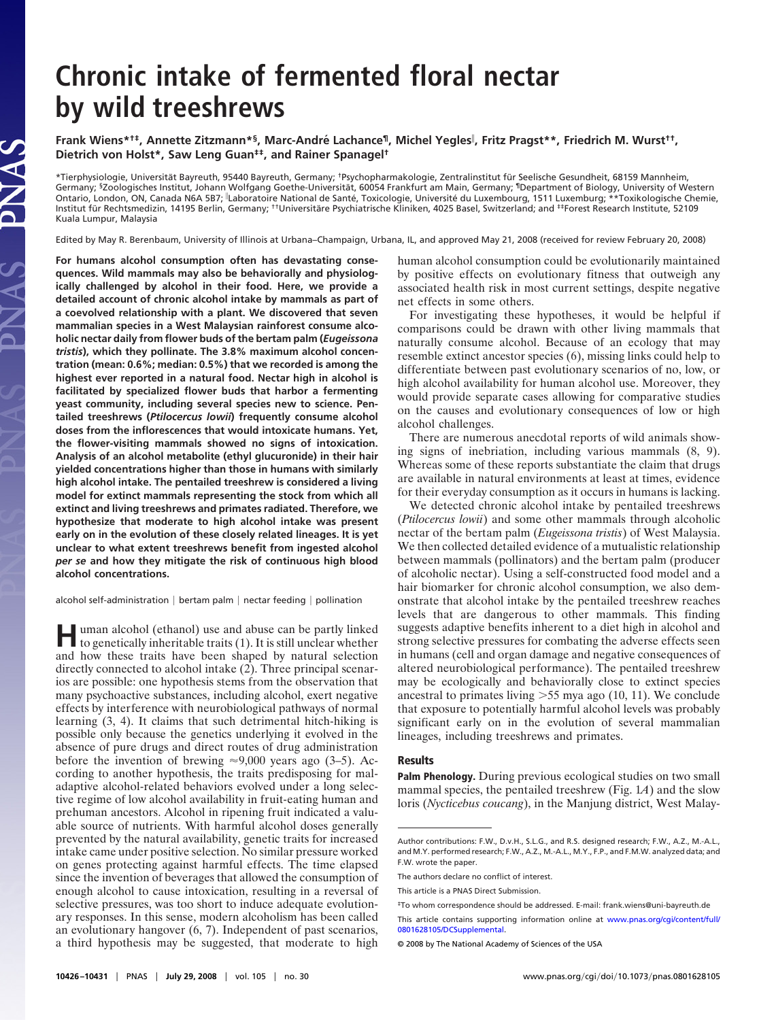## **Chronic intake of fermented floral nectar by wild treeshrews**

**Frank Wiens\*†‡, Annette Zitzmann\*§, Marc-Andre´ Lachance¶, Michel Yegles , Fritz Pragst\*\*, Friedrich M. Wurst††, Dietrich von Holst\*, Saw Leng Guan‡‡, and Rainer Spanagel†**

\*Tierphysiologie, Universita¨t Bayreuth, 95440 Bayreuth, Germany; †Psychopharmakologie, Zentralinstitut fu¨ r Seelische Gesundheit, 68159 Mannheim, Germany; §Zoologisches Institut, Johann Wolfgang Goethe-Universita¨t, 60054 Frankfurt am Main, Germany; ¶Department of Biology, University of Western Ontario, London, ON, Canada N6A 5B7; <sup>I</sup>Laboratoire National de Santé, Toxicologie, Université du Luxembourg, 1511 Luxemburg; \*\*Toxikologische Chemie, Institut für Rechtsmedizin, 14195 Berlin, Germany; <sup>††</sup>Universitäre Psychiatrische Kliniken, 4025 Basel, Switzerland; and <sup>‡‡</sup>Forest Research Institute, 52109 Kuala Lumpur, Malaysia

Edited by May R. Berenbaum, University of Illinois at Urbana–Champaign, Urbana, IL, and approved May 21, 2008 (received for review February 20, 2008)

**For humans alcohol consumption often has devastating consequences. Wild mammals may also be behaviorally and physiologically challenged by alcohol in their food. Here, we provide a detailed account of chronic alcohol intake by mammals as part of a coevolved relationship with a plant. We discovered that seven mammalian species in a West Malaysian rainforest consume alcoholic nectar daily from flower buds of the bertam palm (***Eugeissona tristis***), which they pollinate. The 3.8% maximum alcohol concentration (mean: 0.6%; median: 0.5%) that we recorded is among the highest ever reported in a natural food. Nectar high in alcohol is facilitated by specialized flower buds that harbor a fermenting yeast community, including several species new to science. Pentailed treeshrews (***Ptilocercus lowii***) frequently consume alcohol doses from the inflorescences that would intoxicate humans. Yet, the flower-visiting mammals showed no signs of intoxication. Analysis of an alcohol metabolite (ethyl glucuronide) in their hair yielded concentrations higher than those in humans with similarly high alcohol intake. The pentailed treeshrew is considered a living model for extinct mammals representing the stock from which all extinct and living treeshrews and primates radiated. Therefore, we hypothesize that moderate to high alcohol intake was present early on in the evolution of these closely related lineages. It is yet unclear to what extent treeshrews benefit from ingested alcohol** *per se* **and how they mitigate the risk of continuous high blood alcohol concentrations.**

IAS

alcohol self-administration  $\vert$  bertam palm  $\vert$  nectar feeding  $\vert$  pollination

**H**uman alcohol (ethanol) use and abuse can be partly linked to genetically inheritable traits (1). It is still unclear whether and how these traits have been shaped by natural selection directly connected to alcohol intake (2). Three principal scenarios are possible: one hypothesis stems from the observation that many psychoactive substances, including alcohol, exert negative effects by interference with neurobiological pathways of normal learning (3, 4). It claims that such detrimental hitch-hiking is possible only because the genetics underlying it evolved in the absence of pure drugs and direct routes of drug administration before the invention of brewing  $\approx 9,000$  years ago (3–5). According to another hypothesis, the traits predisposing for maladaptive alcohol-related behaviors evolved under a long selective regime of low alcohol availability in fruit-eating human and prehuman ancestors. Alcohol in ripening fruit indicated a valuable source of nutrients. With harmful alcohol doses generally prevented by the natural availability, genetic traits for increased intake came under positive selection. No similar pressure worked on genes protecting against harmful effects. The time elapsed since the invention of beverages that allowed the consumption of enough alcohol to cause intoxication, resulting in a reversal of selective pressures, was too short to induce adequate evolutionary responses. In this sense, modern alcoholism has been called an evolutionary hangover (6, 7). Independent of past scenarios, a third hypothesis may be suggested, that moderate to high

human alcohol consumption could be evolutionarily maintained by positive effects on evolutionary fitness that outweigh any associated health risk in most current settings, despite negative net effects in some others.

For investigating these hypotheses, it would be helpful if comparisons could be drawn with other living mammals that naturally consume alcohol. Because of an ecology that may resemble extinct ancestor species (6), missing links could help to differentiate between past evolutionary scenarios of no, low, or high alcohol availability for human alcohol use. Moreover, they would provide separate cases allowing for comparative studies on the causes and evolutionary consequences of low or high alcohol challenges.

There are numerous anecdotal reports of wild animals showing signs of inebriation, including various mammals (8, 9). Whereas some of these reports substantiate the claim that drugs are available in natural environments at least at times, evidence for their everyday consumption as it occurs in humans is lacking.

We detected chronic alcohol intake by pentailed treeshrews (*Ptilocercus lowii*) and some other mammals through alcoholic nectar of the bertam palm (*Eugeissona tristis*) of West Malaysia. We then collected detailed evidence of a mutualistic relationship between mammals (pollinators) and the bertam palm (producer of alcoholic nectar). Using a self-constructed food model and a hair biomarker for chronic alcohol consumption, we also demonstrate that alcohol intake by the pentailed treeshrew reaches levels that are dangerous to other mammals. This finding suggests adaptive benefits inherent to a diet high in alcohol and strong selective pressures for combating the adverse effects seen in humans (cell and organ damage and negative consequences of altered neurobiological performance). The pentailed treeshrew may be ecologically and behaviorally close to extinct species ancestral to primates living  $>55$  mya ago (10, 11). We conclude that exposure to potentially harmful alcohol levels was probably significant early on in the evolution of several mammalian lineages, including treeshrews and primates.

## **Results**

**Palm Phenology.** During previous ecological studies on two small mammal species, the pentailed treeshrew (Fig. 1*A*) and the slow loris (*Nycticebus coucang*), in the Manjung district, West Malay-

Author contributions: F.W., D.v.H., S.L.G., and R.S. designed research; F.W., A.Z., M.-A.L., and M.Y. performed research; F.W., A.Z., M.-A.L., M.Y., F.P., and F.M.W. analyzed data; and F.W. wrote the paper.

The authors declare no conflict of interest.

This article is a PNAS Direct Submission.

<sup>‡</sup>To whom correspondence should be addressed. E-mail: frank.wiens@uni-bayreuth.de

This article contains supporting information online at [www.pnas.org/cgi/content/full/](http://www.pnas.org/cgi/content/full/0801628105/DCSupplemental) [0801628105/DCSupplemental.](http://www.pnas.org/cgi/content/full/0801628105/DCSupplemental)

<sup>© 2008</sup> by The National Academy of Sciences of the USA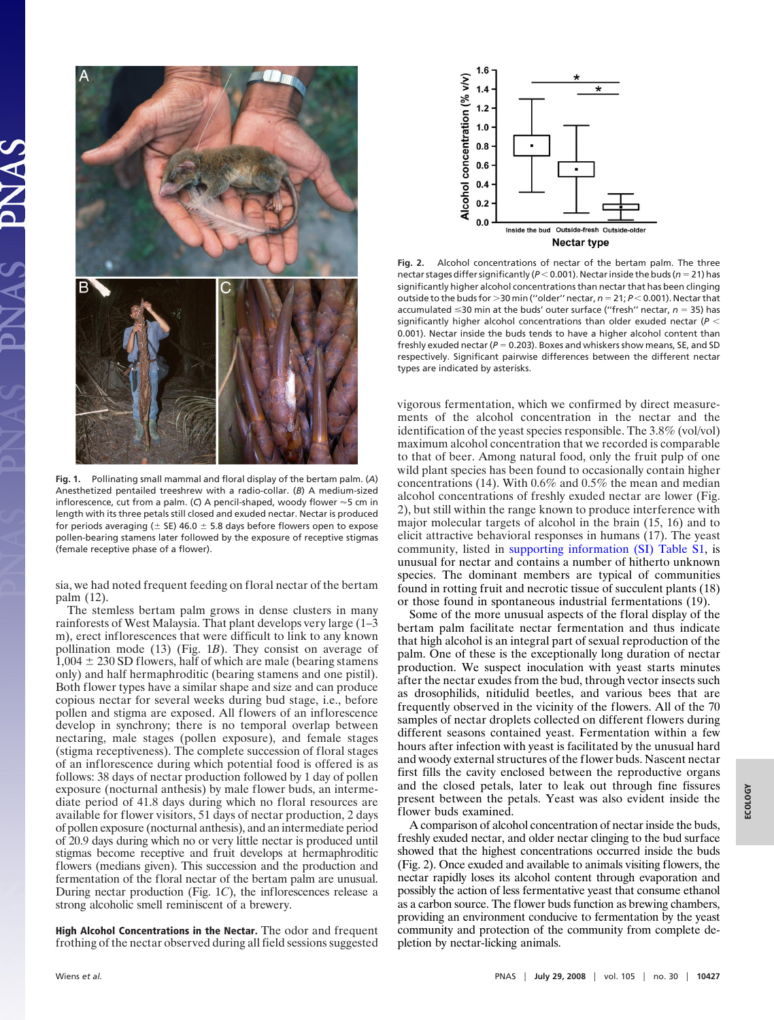

**Fig. 1.** Pollinating small mammal and floral display of the bertam palm. (*A*) Anesthetized pentailed treeshrew with a radio-collar. (*B*) A medium-sized inflorescence, cut from a palm. (C) A pencil-shaped, woody flower  $\approx$  5 cm in length with its three petals still closed and exuded nectar. Nectar is produced for periods averaging ( $\pm$  SE) 46.0  $\pm$  5.8 days before flowers open to expose pollen-bearing stamens later followed by the exposure of receptive stigmas (female receptive phase of a flower).

sia, we had noted frequent feeding on floral nectar of the bertam palm (12).

The stemless bertam palm grows in dense clusters in many rainforests of West Malaysia. That plant develops very large (1–3 m), erect inflorescences that were difficult to link to any known pollination mode (13) (Fig. 1*B*). They consist on average of  $1,004 \pm 230$  SD flowers, half of which are male (bearing stamens only) and half hermaphroditic (bearing stamens and one pistil). Both flower types have a similar shape and size and can produce copious nectar for several weeks during bud stage, i.e., before pollen and stigma are exposed. All flowers of an inflorescence develop in synchrony; there is no temporal overlap between nectaring, male stages (pollen exposure), and female stages (stigma receptiveness). The complete succession of floral stages of an inflorescence during which potential food is offered is as follows: 38 days of nectar production followed by 1 day of pollen exposure (nocturnal anthesis) by male flower buds, an intermediate period of 41.8 days during which no floral resources are available for flower visitors, 51 days of nectar production, 2 days of pollen exposure (nocturnal anthesis), and an intermediate period of 20.9 days during which no or very little nectar is produced until stigmas become receptive and fruit develops at hermaphroditic flowers (medians given). This succession and the production and fermentation of the floral nectar of the bertam palm are unusual. During nectar production (Fig. 1*C*), the inflorescences release a strong alcoholic smell reminiscent of a brewery.

**High Alcohol Concentrations in the Nectar.** The odor and frequent frothing of the nectar observed during all field sessions suggested



**Fig. 2.** Alcohol concentrations of nectar of the bertam palm. The three nectar stages differ significantly ( $P < 0.001$ ). Nectar inside the buds ( $n = 21$ ) has significantly higher alcohol concentrations than nectar that has been clinging outside to the buds for >30 min (''older'' nectar, *n* = 21; *P* < 0.001). Nectar that accumulated  $\leq$ 30 min at the buds' outer surface ("fresh" nectar,  $n = 35$ ) has significantly higher alcohol concentrations than older exuded nectar (*P* 0.001). Nectar inside the buds tends to have a higher alcohol content than freshly exuded nectar ( $P = 0.203$ ). Boxes and whiskers show means, SE, and SD respectively. Significant pairwise differences between the different nectar types are indicated by asterisks.

vigorous fermentation, which we confirmed by direct measurements of the alcohol concentration in the nectar and the identification of the yeast species responsible. The 3.8% (vol/vol) maximum alcohol concentration that we recorded is comparable to that of beer. Among natural food, only the fruit pulp of one wild plant species has been found to occasionally contain higher concentrations (14). With 0.6% and 0.5% the mean and median alcohol concentrations of freshly exuded nectar are lower (Fig. 2), but still within the range known to produce interference with major molecular targets of alcohol in the brain (15, 16) and to elicit attractive behavioral responses in humans (17). The yeast community, listed in [supporting information \(SI\) Table S1,](http://www.pnas.org/cgi/data/0801628105/DCSupplemental/Supplemental_PDF#nameddest=ST1) is unusual for nectar and contains a number of hitherto unknown species. The dominant members are typical of communities found in rotting fruit and necrotic tissue of succulent plants (18) or those found in spontaneous industrial fermentations (19).

Some of the more unusual aspects of the floral display of the bertam palm facilitate nectar fermentation and thus indicate that high alcohol is an integral part of sexual reproduction of the palm. One of these is the exceptionally long duration of nectar production. We suspect inoculation with yeast starts minutes after the nectar exudes from the bud, through vector insects such as drosophilids, nitidulid beetles, and various bees that are frequently observed in the vicinity of the flowers. All of the 70 samples of nectar droplets collected on different flowers during different seasons contained yeast. Fermentation within a few hours after infection with yeast is facilitated by the unusual hard and woody external structures of the flower buds. Nascent nectar first fills the cavity enclosed between the reproductive organs and the closed petals, later to leak out through fine fissures present between the petals. Yeast was also evident inside the flower buds examined.

A comparison of alcohol concentration of nectar inside the buds, freshly exuded nectar, and older nectar clinging to the bud surface showed that the highest concentrations occurred inside the buds (Fig. 2). Once exuded and available to animals visiting flowers, the nectar rapidly loses its alcohol content through evaporation and possibly the action of less fermentative yeast that consume ethanol as a carbon source. The flower buds function as brewing chambers, providing an environment conducive to fermentation by the yeast community and protection of the community from complete depletion by nectar-licking animals.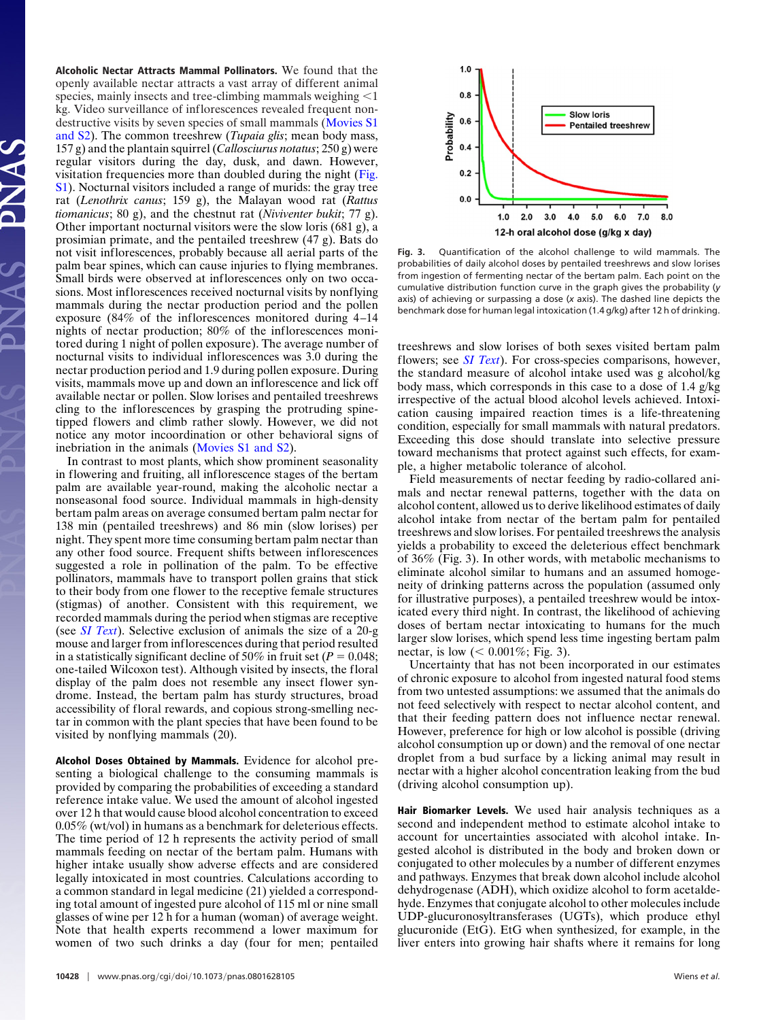**Alcoholic Nectar Attracts Mammal Pollinators.** We found that the openly available nectar attracts a vast array of different animal species, mainly insects and tree-climbing mammals weighing  $<$  1 kg. Video surveillance of inflorescences revealed frequent nondestructive visits by seven species of small mammals [\(Movies S1](http://www.pnas.org/content/vol0/issue2008/images/data/0801628105/DCSupplemental/SM1.mov) [and S2\)](http://www.pnas.org/content/vol0/issue2008/images/data/0801628105/DCSupplemental/SM1.mov). The common treeshrew (*Tupaia glis*; mean body mass, 157 g) and the plantain squirrel (*Callosciurus notatus*; 250 g) were regular visitors during the day, dusk, and dawn. However, visitation frequencies more than doubled during the night [\(Fig.](http://www.pnas.org/cgi/data/0801628105/DCSupplemental/Supplemental_PDF#nameddest=SF1) [S1\)](http://www.pnas.org/cgi/data/0801628105/DCSupplemental/Supplemental_PDF#nameddest=SF1). Nocturnal visitors included a range of murids: the gray tree rat (*Lenothrix canus*; 159 g), the Malayan wood rat (*Rattus tiomanicus*; 80 g), and the chestnut rat (*Niviventer bukit*; 77 g). Other important nocturnal visitors were the slow loris (681 g), a prosimian primate, and the pentailed treeshrew (47 g). Bats do not visit inflorescences, probably because all aerial parts of the palm bear spines, which can cause injuries to flying membranes. Small birds were observed at inflorescences only on two occasions. Most inflorescences received nocturnal visits by nonflying mammals during the nectar production period and the pollen exposure (84% of the inflorescences monitored during 4–14 nights of nectar production; 80% of the inflorescences monitored during 1 night of pollen exposure). The average number of nocturnal visits to individual inflorescences was 3.0 during the nectar production period and 1.9 during pollen exposure. During visits, mammals move up and down an inflorescence and lick off available nectar or pollen. Slow lorises and pentailed treeshrews cling to the inflorescences by grasping the protruding spinetipped flowers and climb rather slowly. However, we did not notice any motor incoordination or other behavioral signs of inebriation in the animals [\(Movies S1 and S2\)](http://www.pnas.org/content/vol0/issue2008/images/data/0801628105/DCSupplemental/SM1.mov).

In contrast to most plants, which show prominent seasonality in flowering and fruiting, all inflorescence stages of the bertam palm are available year-round, making the alcoholic nectar a nonseasonal food source. Individual mammals in high-density bertam palm areas on average consumed bertam palm nectar for 138 min (pentailed treeshrews) and 86 min (slow lorises) per night. They spent more time consuming bertam palm nectar than any other food source. Frequent shifts between inflorescences suggested a role in pollination of the palm. To be effective pollinators, mammals have to transport pollen grains that stick to their body from one flower to the receptive female structures (stigmas) of another. Consistent with this requirement, we recorded mammals during the period when stigmas are receptive (see *[SI Text](http://www.pnas.org/cgi/data/0801628105/DCSupplemental/Supplemental_PDF#nameddest=STXT)*). Selective exclusion of animals the size of a 20-g mouse and larger from inflorescences during that period resulted in a statistically significant decline of 50% in fruit set  $(P = 0.048;$ one-tailed Wilcoxon test). Although visited by insects, the floral display of the palm does not resemble any insect flower syndrome. Instead, the bertam palm has sturdy structures, broad accessibility of floral rewards, and copious strong-smelling nectar in common with the plant species that have been found to be visited by nonflying mammals (20).

**Alcohol Doses Obtained by Mammals.** Evidence for alcohol presenting a biological challenge to the consuming mammals is provided by comparing the probabilities of exceeding a standard reference intake value. We used the amount of alcohol ingested over 12 h that would cause blood alcohol concentration to exceed 0.05% (wt/vol) in humans as a benchmark for deleterious effects. The time period of 12 h represents the activity period of small mammals feeding on nectar of the bertam palm. Humans with higher intake usually show adverse effects and are considered legally intoxicated in most countries. Calculations according to a common standard in legal medicine (21) yielded a corresponding total amount of ingested pure alcohol of 115 ml or nine small glasses of wine per 12 h for a human (woman) of average weight. Note that health experts recommend a lower maximum for women of two such drinks a day (four for men; pentailed



**Fig. 3.** Quantification of the alcohol challenge to wild mammals. The probabilities of daily alcohol doses by pentailed treeshrews and slow lorises from ingestion of fermenting nectar of the bertam palm. Each point on the cumulative distribution function curve in the graph gives the probability (*y* axis) of achieving or surpassing a dose (*x* axis). The dashed line depicts the benchmark dose for human legal intoxication (1.4 g/kg) after 12 h of drinking.

treeshrews and slow lorises of both sexes visited bertam palm flowers; see *[SI Text](http://www.pnas.org/cgi/data/0801628105/DCSupplemental/Supplemental_PDF#nameddest=STXT)*). For cross-species comparisons, however, the standard measure of alcohol intake used was g alcohol/kg body mass, which corresponds in this case to a dose of 1.4 g/kg irrespective of the actual blood alcohol levels achieved. Intoxication causing impaired reaction times is a life-threatening condition, especially for small mammals with natural predators. Exceeding this dose should translate into selective pressure toward mechanisms that protect against such effects, for example, a higher metabolic tolerance of alcohol.

Field measurements of nectar feeding by radio-collared animals and nectar renewal patterns, together with the data on alcohol content, allowed us to derive likelihood estimates of daily alcohol intake from nectar of the bertam palm for pentailed treeshrews and slow lorises. For pentailed treeshrews the analysis yields a probability to exceed the deleterious effect benchmark of 36% (Fig. 3). In other words, with metabolic mechanisms to eliminate alcohol similar to humans and an assumed homogeneity of drinking patterns across the population (assumed only for illustrative purposes), a pentailed treeshrew would be intoxicated every third night. In contrast, the likelihood of achieving doses of bertam nectar intoxicating to humans for the much larger slow lorises, which spend less time ingesting bertam palm nectar, is low  $(< 0.001\%$ ; Fig. 3).

Uncertainty that has not been incorporated in our estimates of chronic exposure to alcohol from ingested natural food stems from two untested assumptions: we assumed that the animals do not feed selectively with respect to nectar alcohol content, and that their feeding pattern does not influence nectar renewal. However, preference for high or low alcohol is possible (driving alcohol consumption up or down) and the removal of one nectar droplet from a bud surface by a licking animal may result in nectar with a higher alcohol concentration leaking from the bud (driving alcohol consumption up).

**Hair Biomarker Levels.** We used hair analysis techniques as a second and independent method to estimate alcohol intake to account for uncertainties associated with alcohol intake. Ingested alcohol is distributed in the body and broken down or conjugated to other molecules by a number of different enzymes and pathways. Enzymes that break down alcohol include alcohol dehydrogenase (ADH), which oxidize alcohol to form acetaldehyde. Enzymes that conjugate alcohol to other molecules include UDP-glucuronosyltransferases (UGTs), which produce ethyl glucuronide (EtG). EtG when synthesized, for example, in the liver enters into growing hair shafts where it remains for long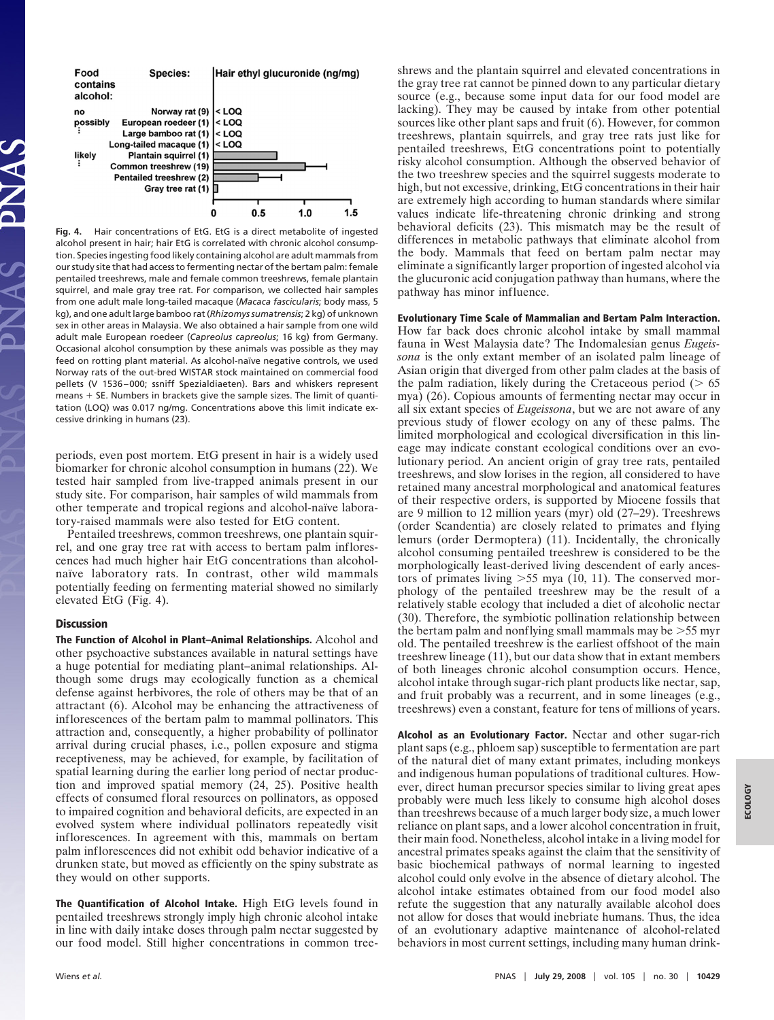

**Fig. 4.** Hair concentrations of EtG. EtG is a direct metabolite of ingested alcohol present in hair; hair EtG is correlated with chronic alcohol consumption. Species ingesting food likely containing alcohol are adult mammals from our study site that had access to fermenting nectar of the bertam palm: female pentailed treeshrews, male and female common treeshrews, female plantain squirrel, and male gray tree rat. For comparison, we collected hair samples from one adult male long-tailed macaque (*Macaca fascicularis*; body mass, 5 kg), and one adult large bamboo rat (*Rhizomys sumatrensis*; 2 kg) of unknown sex in other areas in Malaysia. We also obtained a hair sample from one wild adult male European roedeer (*Capreolus capreolus*; 16 kg) from Germany. Occasional alcohol consumption by these animals was possible as they may feed on rotting plant material. As alcohol-naïve negative controls, we used Norway rats of the out-bred WISTAR stock maintained on commercial food pellets (V 1536–000; ssniff Spezialdiaeten). Bars and whiskers represent means  $+$  SE. Numbers in brackets give the sample sizes. The limit of quantitation (LOQ) was 0.017 ng/mg. Concentrations above this limit indicate excessive drinking in humans (23).

periods, even post mortem. EtG present in hair is a widely used biomarker for chronic alcohol consumption in humans (22). We tested hair sampled from live-trapped animals present in our study site. For comparison, hair samples of wild mammals from other temperate and tropical regions and alcohol-naïve laboratory-raised mammals were also tested for EtG content.

Pentailed treeshrews, common treeshrews, one plantain squirrel, and one gray tree rat with access to bertam palm inflorescences had much higher hair EtG concentrations than alcoholnaïve laboratory rats. In contrast, other wild mammals potentially feeding on fermenting material showed no similarly elevated EtG (Fig. 4).

## **Discussion**

**The Function of Alcohol in Plant–Animal Relationships.** Alcohol and other psychoactive substances available in natural settings have a huge potential for mediating plant–animal relationships. Although some drugs may ecologically function as a chemical defense against herbivores, the role of others may be that of an attractant (6). Alcohol may be enhancing the attractiveness of inflorescences of the bertam palm to mammal pollinators. This attraction and, consequently, a higher probability of pollinator arrival during crucial phases, i.e., pollen exposure and stigma receptiveness, may be achieved, for example, by facilitation of spatial learning during the earlier long period of nectar production and improved spatial memory (24, 25). Positive health effects of consumed floral resources on pollinators, as opposed to impaired cognition and behavioral deficits, are expected in an evolved system where individual pollinators repeatedly visit inflorescences. In agreement with this, mammals on bertam palm inflorescences did not exhibit odd behavior indicative of a drunken state, but moved as efficiently on the spiny substrate as they would on other supports.

**The Quantification of Alcohol Intake.** High EtG levels found in pentailed treeshrews strongly imply high chronic alcohol intake in line with daily intake doses through palm nectar suggested by our food model. Still higher concentrations in common treeshrews and the plantain squirrel and elevated concentrations in the gray tree rat cannot be pinned down to any particular dietary source (e.g., because some input data for our food model are lacking). They may be caused by intake from other potential sources like other plant saps and fruit (6). However, for common treeshrews, plantain squirrels, and gray tree rats just like for pentailed treeshrews, EtG concentrations point to potentially risky alcohol consumption. Although the observed behavior of the two treeshrew species and the squirrel suggests moderate to high, but not excessive, drinking, EtG concentrations in their hair are extremely high according to human standards where similar values indicate life-threatening chronic drinking and strong behavioral deficits (23). This mismatch may be the result of differences in metabolic pathways that eliminate alcohol from the body. Mammals that feed on bertam palm nectar may eliminate a significantly larger proportion of ingested alcohol via the glucuronic acid conjugation pathway than humans, where the pathway has minor influence.

**Evolutionary Time Scale of Mammalian and Bertam Palm Interaction.** How far back does chronic alcohol intake by small mammal fauna in West Malaysia date? The Indomalesian genus *Eugeissona* is the only extant member of an isolated palm lineage of Asian origin that diverged from other palm clades at the basis of the palm radiation, likely during the Cretaceous period ( $> 65$ mya) (26). Copious amounts of fermenting nectar may occur in all six extant species of *Eugeissona*, but we are not aware of any previous study of flower ecology on any of these palms. The limited morphological and ecological diversification in this lineage may indicate constant ecological conditions over an evolutionary period. An ancient origin of gray tree rats, pentailed treeshrews, and slow lorises in the region, all considered to have retained many ancestral morphological and anatomical features of their respective orders, is supported by Miocene fossils that are 9 million to 12 million years (myr) old (27–29). Treeshrews (order Scandentia) are closely related to primates and flying lemurs (order Dermoptera) (11). Incidentally, the chronically alcohol consuming pentailed treeshrew is considered to be the morphologically least-derived living descendent of early ancestors of primates living  $>55$  mya (10, 11). The conserved morphology of the pentailed treeshrew may be the result of a relatively stable ecology that included a diet of alcoholic nectar (30). Therefore, the symbiotic pollination relationship between the bertam palm and nonflying small mammals may be  $>55$  myr old. The pentailed treeshrew is the earliest offshoot of the main treeshrew lineage (11), but our data show that in extant members of both lineages chronic alcohol consumption occurs. Hence, alcohol intake through sugar-rich plant products like nectar, sap, and fruit probably was a recurrent, and in some lineages (e.g., treeshrews) even a constant, feature for tens of millions of years.

**Alcohol as an Evolutionary Factor.** Nectar and other sugar-rich plant saps (e.g., phloem sap) susceptible to fermentation are part of the natural diet of many extant primates, including monkeys and indigenous human populations of traditional cultures. However, direct human precursor species similar to living great apes probably were much less likely to consume high alcohol doses than treeshrews because of a much larger body size, a much lower reliance on plant saps, and a lower alcohol concentration in fruit, their main food. Nonetheless, alcohol intake in a living model for ancestral primates speaks against the claim that the sensitivity of basic biochemical pathways of normal learning to ingested alcohol could only evolve in the absence of dietary alcohol. The alcohol intake estimates obtained from our food model also refute the suggestion that any naturally available alcohol does not allow for doses that would inebriate humans. Thus, the idea of an evolutionary adaptive maintenance of alcohol-related behaviors in most current settings, including many human drink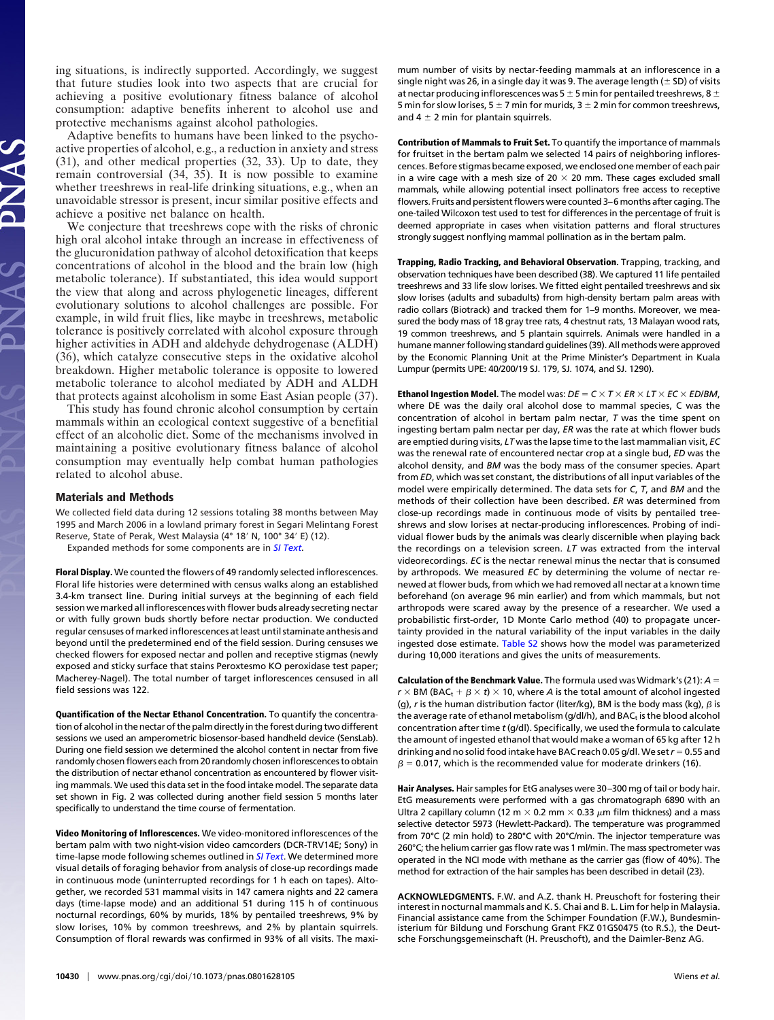ing situations, is indirectly supported. Accordingly, we suggest that future studies look into two aspects that are crucial for achieving a positive evolutionary fitness balance of alcohol consumption: adaptive benefits inherent to alcohol use and protective mechanisms against alcohol pathologies.

Adaptive benefits to humans have been linked to the psychoactive properties of alcohol, e.g., a reduction in anxiety and stress (31), and other medical properties (32, 33). Up to date, they remain controversial (34, 35). It is now possible to examine whether treeshrews in real-life drinking situations, e.g., when an unavoidable stressor is present, incur similar positive effects and achieve a positive net balance on health.

We conjecture that treeshrews cope with the risks of chronic high oral alcohol intake through an increase in effectiveness of the glucuronidation pathway of alcohol detoxification that keeps concentrations of alcohol in the blood and the brain low (high metabolic tolerance). If substantiated, this idea would support the view that along and across phylogenetic lineages, different evolutionary solutions to alcohol challenges are possible. For example, in wild fruit flies, like maybe in treeshrews, metabolic tolerance is positively correlated with alcohol exposure through higher activities in ADH and aldehyde dehydrogenase (ALDH) (36), which catalyze consecutive steps in the oxidative alcohol breakdown. Higher metabolic tolerance is opposite to lowered metabolic tolerance to alcohol mediated by ADH and ALDH that protects against alcoholism in some East Asian people (37).

This study has found chronic alcohol consumption by certain mammals within an ecological context suggestive of a benefitial effect of an alcoholic diet. Some of the mechanisms involved in maintaining a positive evolutionary fitness balance of alcohol consumption may eventually help combat human pathologies related to alcohol abuse.

## **Materials and Methods**

We collected field data during 12 sessions totaling 38 months between May 1995 and March 2006 in a lowland primary forest in Segari Melintang Forest Reserve, State of Perak, West Malaysia (4° 18' N, 100° 34' E) (12).

Expanded methods for some components are in *[SI Text](http://www.pnas.org/cgi/data/0801628105/DCSupplemental/Supplemental_PDF#nameddest=STXT)*.

**Floral Display.** We counted the flowers of 49 randomly selected inflorescences. Floral life histories were determined with census walks along an established 3.4-km transect line. During initial surveys at the beginning of each field session we marked all inflorescences with flower buds already secreting nectar or with fully grown buds shortly before nectar production. We conducted regular censuses of marked inflorescences at least until staminate anthesis and beyond until the predetermined end of the field session. During censuses we checked flowers for exposed nectar and pollen and receptive stigmas (newly exposed and sticky surface that stains Peroxtesmo KO peroxidase test paper; Macherey-Nagel). The total number of target inflorescences censused in all field sessions was 122.

**Quantification of the Nectar Ethanol Concentration.** To quantify the concentration of alcohol in the nectar of the palm directly in the forest during two different sessions we used an amperometric biosensor-based handheld device (SensLab). During one field session we determined the alcohol content in nectar from five randomly chosen flowers each from 20 randomly chosen inflorescences to obtain the distribution of nectar ethanol concentration as encountered by flower visiting mammals. We used this data set in the food intake model. The separate data set shown in Fig. 2 was collected during another field session 5 months later specifically to understand the time course of fermentation.

**Video Monitoring of Inflorescences.** We video-monitored inflorescences of the bertam palm with two night-vision video camcorders (DCR-TRV14E; Sony) in time-lapse mode following schemes outlined in *[SI Text](http://www.pnas.org/cgi/data/0801628105/DCSupplemental/Supplemental_PDF#nameddest=STXT)*. We determined more visual details of foraging behavior from analysis of close-up recordings made in continuous mode (uninterrupted recordings for 1 h each on tapes). Altogether, we recorded 531 mammal visits in 147 camera nights and 22 camera days (time-lapse mode) and an additional 51 during 115 h of continuous nocturnal recordings, 60% by murids, 18% by pentailed treeshrews, 9% by slow lorises, 10% by common treeshrews, and 2% by plantain squirrels. Consumption of floral rewards was confirmed in 93% of all visits. The maximum number of visits by nectar-feeding mammals at an inflorescence in a single night was 26, in a single day it was 9. The average length ( $\pm$  SD) of visits at nectar producing inflorescences was 5  $\pm$  5 min for pentailed treeshrews, 8  $\pm$ 5 min for slow lorises, 5  $\pm$  7 min for murids, 3  $\pm$  2 min for common treeshrews, and  $4 \pm 2$  min for plantain squirrels.

**Contribution of Mammals to Fruit Set.** To quantify the importance of mammals for fruitset in the bertam palm we selected 14 pairs of neighboring inflorescences. Before stigmas became exposed, we enclosed one member of each pair in a wire cage with a mesh size of 20  $\times$  20 mm. These cages excluded small mammals, while allowing potential insect pollinators free access to receptive flowers. Fruits and persistent flowers were counted 3–6 months after caging. The one-tailed Wilcoxon test used to test for differences in the percentage of fruit is deemed appropriate in cases when visitation patterns and floral structures strongly suggest nonflying mammal pollination as in the bertam palm.

**Trapping, Radio Tracking, and Behavioral Observation.** Trapping, tracking, and observation techniques have been described (38). We captured 11 life pentailed treeshrews and 33 life slow lorises. We fitted eight pentailed treeshrews and six slow lorises (adults and subadults) from high-density bertam palm areas with radio collars (Biotrack) and tracked them for 1–9 months. Moreover, we measured the body mass of 18 gray tree rats, 4 chestnut rats, 13 Malayan wood rats, 19 common treeshrews, and 5 plantain squirrels. Animals were handled in a humane manner following standard guidelines (39). All methods were approved by the Economic Planning Unit at the Prime Minister's Department in Kuala Lumpur (permits UPE: 40/200/19 SJ. 179, SJ. 1074, and SJ. 1290).

**Ethanol Ingestion Model.** The model was:  $DE = C \times T \times ER \times LT \times EC \times ED/BM$ , where DE was the daily oral alcohol dose to mammal species, C was the concentration of alcohol in bertam palm nectar, *T* was the time spent on ingesting bertam palm nectar per day, *ER* was the rate at which flower buds are emptied during visits, *LT* was the lapse time to the last mammalian visit, *EC* was the renewal rate of encountered nectar crop at a single bud, *ED* was the alcohol density, and *BM* was the body mass of the consumer species. Apart from *ED*, which was set constant, the distributions of all input variables of the model were empirically determined. The data sets for *C*, *T*, and *BM* and the methods of their collection have been described. *ER* was determined from close-up recordings made in continuous mode of visits by pentailed treeshrews and slow lorises at nectar-producing inflorescences. Probing of individual flower buds by the animals was clearly discernible when playing back the recordings on a television screen. *LT* was extracted from the interval videorecordings. *EC* is the nectar renewal minus the nectar that is consumed by arthropods. We measured *EC* by determining the volume of nectar renewed at flower buds, from which we had removed all nectar at a known time beforehand (on average 96 min earlier) and from which mammals, but not arthropods were scared away by the presence of a researcher. We used a probabilistic first-order, 1D Monte Carlo method (40) to propagate uncertainty provided in the natural variability of the input variables in the daily ingested dose estimate. [Table S2](http://www.pnas.org/cgi/data/0801628105/DCSupplemental/Supplemental_PDF#nameddest=ST2) shows how the model was parameterized during 10,000 iterations and gives the units of measurements.

**Calculation of the Benchmark Value.** The formula used was Widmark's (21): *A*  $r \times$  BM (BAC<sub>t</sub> +  $\beta \times t) \times$  10, where *A* is the total amount of alcohol ingested (g), r is the human distribution factor (liter/kg), BM is the body mass (kg),  $\beta$  is the average rate of ethanol metabolism (g/dl/h), and BAC $<sub>t</sub>$  is the blood alcohol</sub> concentration after time *t*(g/dl). Specifically, we used the formula to calculate the amount of ingested ethanol that would make a woman of 65 kg after 12 h drinking and no solid food intake have BAC reach 0.05 g/dl. We set  $r = 0.55$  and  $\beta$  = 0.017, which is the recommended value for moderate drinkers (16).

**Hair Analyses.** Hair samples for EtG analyses were 30–300 mg of tail or body hair. EtG measurements were performed with a gas chromatograph 6890 with an Ultra 2 capillary column (12 m  $\times$  0.2 mm  $\times$  0.33  $\mu$ m film thickness) and a mass selective detector 5973 (Hewlett-Packard). The temperature was programmed from 70°C (2 min hold) to 280°C with 20°C/min. The injector temperature was 260°C; the helium carrier gas flow rate was 1 ml/min. The mass spectrometer was operated in the NCI mode with methane as the carrier gas (flow of 40%). The method for extraction of the hair samples has been described in detail (23).

**ACKNOWLEDGMENTS.** F.W. and A.Z. thank H. Preuschoft for fostering their interest in nocturnal mammals and K. S. Chai and B. L. Lim for help in Malaysia. Financial assistance came from the Schimper Foundation (F.W.), Bundesministerium für Bildung und Forschung Grant FKZ 01GS0475 (to R.S.), the Deutsche Forschungsgemeinschaft (H. Preuschoft), and the Daimler-Benz AG.